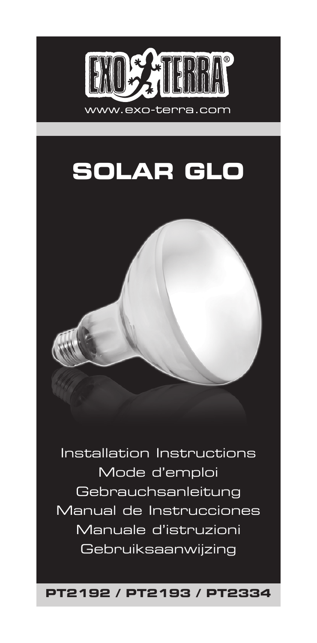

# **SOLAR GLO**

Installation Instructions Mode d'emploi Gebrauchsanleitung Manual de Instrucciones Manuale d'istruzioni Gebruiksaanwijzing

**PT2192 / PT2193 / PT2334**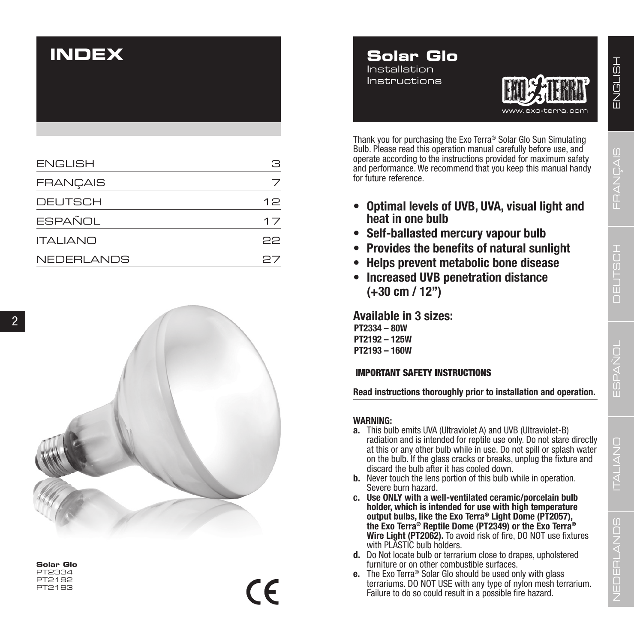# **INDEX**

| <b>ENGLISH</b>  | я  |
|-----------------|----|
| <b>FRANÇAIS</b> |    |
| <b>DEUTSCH</b>  | 12 |
| <b>ESPAÑOL</b>  | 17 |
| <b>ITALIANO</b> | 22 |
| NEDERLANDS      | 27 |



 $\epsilon$ 

**Solar Glo** PT2334 PT2192 PT2193





Thank you for purchasing the Exo Terra ® Solar Glo Sun Simulating Bulb. Please read this operation manual carefully before use, and operate according to the instructions provided for maximum safety and performance. We recommend that you keep this manual handy for future reference.

- **• Optimal levels of UVB, UVA, visual light and heat in one bulb**
- **• Self-ballasted mercury vapour bulb**
- **• Provides the benefits of natural sunlight**
- **• Helps prevent metabolic bone disease**
- **• Increased UVB penetration distance (+30 cm / 12")**

**Available in 3 sizes:**

**PT2334 – 80W PT2192 – 125W PT2193 – 160W**

### IMPORTANT SAFETY INSTRUCTIONS

**Read instructions thoroughly prior to installation and operation.**

### **WARNING:**

- **a.** This bulb emits UVA (Ultraviolet A) and UVB (Ultraviolet-B) radiation and is intended for reptile use only. Do not stare directly at this or any other bulb while in use. Do not spill or splash water on the bulb. If the glass cracks or breaks, unplug the fixture and discard the bulb after it has cooled down.
- **b.** Never touch the lens portion of this bulb while in operation. Severe burn hazard.
- **c. Use ONLY with a well-ventilated ceramic/porcelain bulb holder, which is intended for use with high temperature output bulbs, like the Exo Terra ® Light Dome (PT2057), the Exo Terra® Reptile Dome (PT2349) or the Exo Terra® Wire Light (PT2062).** To avoid risk of fire, DO NOT use fixtures with PLASTIC bulb holders.
- **d.** Do Not locate bulb or terrarium close to drapes, upholstered furniture or on other combustible surfaces.
- **e.** The Exo Terra® Solar Glo should be used only with glass terrariums. DO NOT USE with any type of nylon mesh terrarium. Failure to do so could result in a possible fire hazard.

ESPAÑOL

FRANÇAIS

DEUTSCH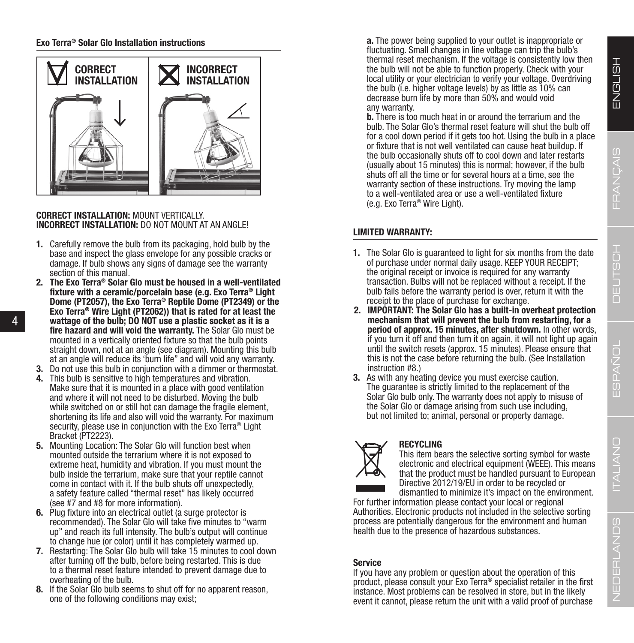**Exo Terra® Solar Glo Installation instructions**



### **CORRECT INSTALLATION:** MOUNT VERTICALLY. **INCORRECT INSTALLATION:** DO NOT MOUNT AT AN ANGLE!

- **1.** Carefully remove the bulb from its packaging, hold bulb by the base and inspect the glass envelope for any possible cracks or damage. If bulb shows any signs of damage see the warranty section of this manual.
- **2. The Exo Terra® Solar Glo must be housed in a well-ventilated fixture with a ceramic/porcelain base (e.g. Exo Terra® Light Dome (PT2057), the Exo Terra® Reptile Dome (PT2349) or the Exo Terra® Wire Light (PT2062)) that is rated for at least the wattage of the bulb; DO NOT use a plastic socket as it is a fire hazard and will void the warranty.** The Solar Glo must be mounted in a vertically oriented fixture so that the bulb points straight down, not at an angle (see diagram). Mounting this bulb at an angle will reduce its 'burn life" and will void any warranty.
- **3.** Do not use this bulb in conjunction with a dimmer or thermostat.
- **4.** This bulb is sensitive to high temperatures and vibration. Make sure that it is mounted in a place with good ventilation and where it will not need to be disturbed. Moving the bulb while switched on or still hot can damage the fragile element, shortening its life and also will void the warranty. For maximum security, please use in conjunction with the Exo Terra<sup>®</sup> Light Bracket (PT2223).
- **5.** Mounting Location: The Solar Glo will function best when mounted outside the terrarium where it is not exposed to extreme heat, humidity and vibration. If you must mount the bulb inside the terrarium, make sure that your reptile cannot come in contact with it. If the bulb shuts off unexpectedly, a safety feature called "thermal reset" has likely occurred (see #7 and #8 for more information).
- **6.** Plug fixture into an electrical outlet (a surge protector is recommended). The Solar Glo will take five minutes to "warm up" and reach its full intensity. The bulb's output will continue to change hue (or color) until it has completely warmed up.
- **7.** Restarting: The Solar Glo bulb will take 15 minutes to cool down after turning off the bulb, before being restarted. This is due to a thermal reset feature intended to prevent damage due to overheating of the bulb.
- **8.** If the Solar Glo bulb seems to shut off for no apparent reason, one of the following conditions may exist;

**a.** The power being supplied to your outlet is inappropriate or fluctuating. Small changes in line voltage can trip the bulb's thermal reset mechanism. If the voltage is consistently low then the bulb will not be able to function properly. Check with your local utility or your electrician to verify your voltage. Overdriving the bulb (i.e. higher voltage levels) by as little as 10% can decrease burn life by more than 50% and would void any warranty.

**b.** There is too much heat in or around the terrarium and the bulb. The Solar Glo's thermal reset feature will shut the bulb off for a cool down period if it gets too hot. Using the bulb in a place or fixture that is not well ventilated can cause heat buildup. If the bulb occasionally shuts off to cool down and later restarts (usually about 15 minutes) this is normal; however, if the bulb shuts off all the time or for several hours at a time, see the warranty section of these instructions. Try moving the lamp to a well-ventilated area or use a well-ventilated fixture (e.g. Exo Terra® Wire Light).

### **LIMITED WARRANTY:**

- **1.** The Solar Glo is guaranteed to light for six months from the date of purchase under normal daily usage. KEEP YOUR RECEIPT; the original receipt or invoice is required for any warranty transaction. Bulbs will not be replaced without a receipt. If the bulb fails before the warranty period is over, return it with the receipt to the place of purchase for exchange.
- **2. IMPORTANT: The Solar Glo has a built-in overheat protection mechanism that will prevent the bulb from restarting, for a period of approx. 15 minutes, after shutdown.** In other words, if you turn it off and then turn it on again, it will not light up again until the switch resets (approx. 15 minutes). Please ensure that this is not the case before returning the bulb. (See Installation instruction #8.)
- **3.** As with any heating device you must exercise caution. The guarantee is strictly limited to the replacement of the Solar Glo bulb only. The warranty does not apply to misuse of the Solar Glo or damage arising from such use including, but not limited to; animal, personal or property damage.



**RECYCLING**

This item bears the selective sorting symbol for waste electronic and electrical equipment (WEEE). This means that the product must be handled pursuant to European Directive 2012/19/EU in order to be recycled or dismantled to minimize it's impact on the environment.

For further information please contact your local or regional Authorities. Electronic products not included in the selective sorting process are potentially dangerous for the environment and human health due to the presence of hazardous substances.

### **Service**

If you have any problem or question about the operation of this product, please consult your Exo Terra® specialist retailer in the first instance. Most problems can be resolved in store, but in the likely event it cannot, please return the unit with a valid proof of purchase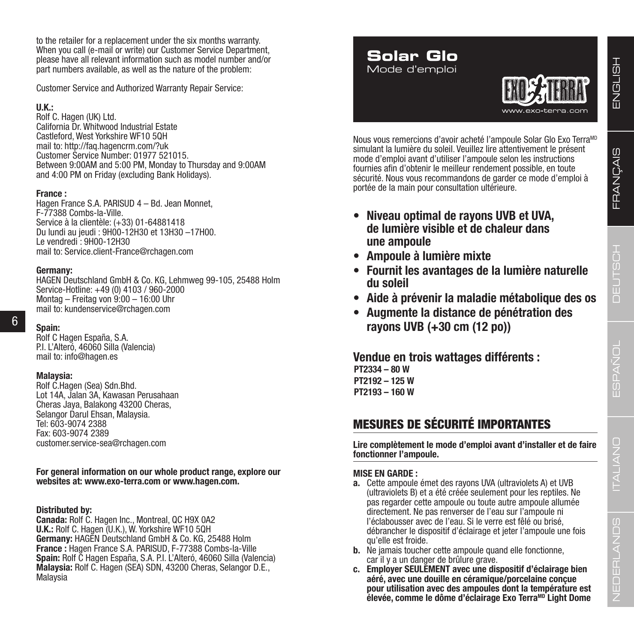to the retailer for a replacement under the six months warranty. When you call (e-mail or write) our Customer Service Department, please have all relevant information such as model number and/or part numbers available, as well as the nature of the problem:

Customer Service and Authorized Warranty Repair Service:

### **U.K.:**

Rolf C. Hagen (UK) Ltd. California Dr. Whitwood Industrial Estate Castleford, West Yorkshire WF10 5QH mail to: http://faq.hagencrm.com/?uk Customer Service Number: 01977 521015. Between 9:00AM and 5:00 PM, Monday to Thursday and 9:00AM and 4:00 PM on Friday (excluding Bank Holidays).

### **France :**

Hagen France S.A. PARISUD 4 – Bd. Jean Monnet, F-77388 Combs-la-Ville. Service à la clientèle: (+33) 01-64881418 Du lundi au jeudi : 9H00-12H30 et 13H30 –17H00. Le vendredi : 9H00-12H30 mail to: Service.client-France@rchagen.com

### **Germany:**

HAGEN Deutschland GmbH & Co. KG, Lehmweg 99-105, 25488 Holm Service-Hotline: +49 (0) 4103 / 960-2000 Montag – Freitag von 9:00 – 16:00 Uhr mail to: kundenservice@rchagen.com

## 6

**Spain:**  Rolf C Hagen España, S.A. P.I. L'Alteró, 46060 Silla (Valencia) mail to: info@hagen.es

### **Malaysia:**

Rolf C.Hagen (Sea) Sdn.Bhd. Lot 14A, Jalan 3A, Kawasan Perusahaan Cheras Jaya, Balakong 43200 Cheras, Selangor Darul Ehsan, Malaysia. Tel: 603-9074 2388 Fax: 603-9074 2389 customer.service-sea@rchagen.com

### **For general information on our whole product range, explore our websites at: www.exo-terra.com or www.hagen.com.**

### **Distributed by:**

**Canada:** Rolf C. Hagen Inc., Montreal, QC H9X 0A2 **U.K.:** Rolf C. Hagen (U.K.), W. Yorkshire WF10 5QH **Germany:** HAGEN Deutschland GmbH & Co. KG, 25488 Holm **France :** Hagen France S.A. PARISUD, F-77388 Combs-la-Ville **Spain:** Rolf C Hagen España, S.A. P.I. L'Alteró, 46060 Silla (Valencia) **Malaysia:** Rolf C. Hagen (SEA) SDN, 43200 Cheras, Selangor D.E., **Malavsia** 

### **Solar Glo** Mode d'emploi



Nous vous remercions d'avoir acheté l'ampoule Solar Glo Exo TerraMD simulant la lumière du soleil. Veuillez lire attentivement le présent mode d'emploi avant d'utiliser l'ampoule selon les instructions fournies afin d'obtenir le meilleur rendement possible, en toute sécurité. Nous vous recommandons de garder ce mode d'emploi à portée de la main pour consultation ultérieure.

- **• Niveau optimal de rayons UVB et UVA, de lumière visible et de chaleur dans une ampoule**
- **• Ampoule à lumière mixte**
- **• Fournit les avantages de la lumière naturelle du soleil**
- **• Aide à prévenir la maladie métabolique des os**
- **• Augmente la distance de pénétration des rayons UVB (+30 cm (12 po))**

**Vendue en trois wattages différents : PT2334 – 80 W PT2192 – 125 W PT2193 – 160 W**

## MESURES DE SÉCURITÉ IMPORTANTES

**Lire complètement le mode d'emploi avant d'installer et de faire fonctionner l'ampoule.**

### **MISE EN GARDE :**

- **a.** Cette ampoule émet des rayons UVA (ultraviolets A) et UVB (ultraviolets B) et a été créée seulement pour les reptiles. Ne pas regarder cette ampoule ou toute autre ampoule allumée directement. Ne pas renverser de l'eau sur l'ampoule ni l'éclabousser avec de l'eau. Si le verre est fêlé ou brisé, débrancher le dispositif d'éclairage et jeter l'ampoule une fois qu'elle est froide.
- **b.** Ne jamais toucher cette ampoule quand elle fonctionne. car il y a un danger de brûlure grave.
- **c. Employer SEULEMENT avec une dispositif d'éclairage bien aéré, avec une douille en céramique/porcelaine conçue pour utilisation avec des ampoules dont la température est**  élevée, comme le dôme d'éclairage Exo Terra<sup>MD</sup> Light Dome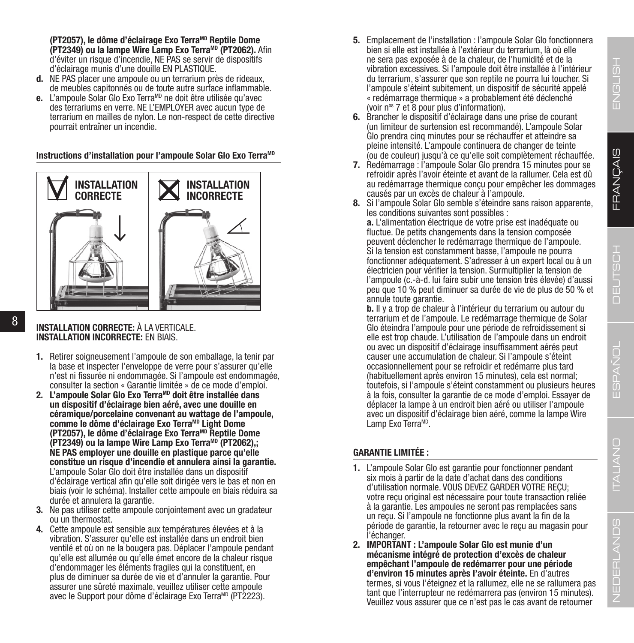$\Box$ ITALIANO

**(PT2057), le dôme d'éclairage Exo TerraMD Reptile Dome (PT2349) ou la lampe Wire Lamp Exo TerraMD (PT2062).** Afin d'éviter un risque d'incendie, NE PAS se servir de dispositifs d'éclairage munis d'une douille EN PLASTIQUE.

- **d.** NE PAS placer une ampoule ou un terrarium près de rideaux, de meubles capitonnés ou de toute autre surface inflammable.
- e. L'ampoule Solar Glo Exo Terra<sup>MD</sup> ne doit être utilisée qu'avec des terrariums en verre. NE L'EMPLOYER avec aucun type de terrarium en mailles de nylon. Le non-respect de cette directive pourrait entraîner un incendie.

**Instructions d'installation pour l'ampoule Solar Glo Exo Terra<sup>ME</sup>** 



### 8

**INSTALLATION CORRECTE:** À LA VERTICALE. **INSTALLATION INCORRECTE:** EN BIAIS.

- **1.** Retirer soigneusement l'ampoule de son emballage, la tenir par la base et inspecter l'enveloppe de verre pour s'assurer qu'elle n'est ni fissurée ni endommagée. Si l'ampoule est endommagée, consulter la section « Garantie limitée » de ce mode d'emploi.
- **2. L'ampoule Solar Glo Exo TerraMD doit être installée dans un dispositif d'éclairage bien aéré, avec une douille en céramique/porcelaine convenant au wattage de l'ampoule,**  comme le dôme d'éclairage Exo Terra<sup>MD</sup> Light Dome **(PT2057), le dôme d'éclairage Exo TerraMD Reptile Dome (PT2349) ou la lampe Wire Lamp Exo TerraMD (PT2062),; NE PAS employer une douille en plastique parce qu'elle constitue un risque d'incendie et annulera ainsi la garantie.** L'ampoule Solar Glo doit être installée dans un dispositif d'éclairage vertical afin qu'elle soit dirigée vers le bas et non en biais (voir le schéma). Installer cette ampoule en biais réduira sa durée et annulera la garantie.
- **3.** Ne pas utiliser cette ampoule conjointement avec un gradateur ou un thermostat.
- **4.** Cette ampoule est sensible aux températures élevées et à la vibration. S'assurer qu'elle est installée dans un endroit bien ventilé et où on ne la bougera pas. Déplacer l'ampoule pendant qu'elle est allumée ou qu'elle émet encore de la chaleur risque d'endommager les éléments fragiles qui la constituent, en plus de diminuer sa durée de vie et d'annuler la garantie. Pour assurer une sûreté maximale, veuillez utiliser cette ampoule avec le Support pour dôme d'éclairage Exo Terra<sup>MD</sup> (PT2223).
- **5.** Emplacement de l'installation : l'ampoule Solar Glo fonctionnera bien si elle est installée à l'extérieur du terrarium, là où elle ne sera pas exposée à de la chaleur, de l'humidité et de la vibration excessives. Si l'ampoule doit être installée à l'intérieur du terrarium, s'assurer que son reptile ne pourra lui toucher. Si l'ampoule s'éteint subitement, un dispositif de sécurité appelé « redémarrage thermique » a probablement été déclenché (voir nos 7 et 8 pour plus d'information).
- **6.** Brancher le dispositif d'éclairage dans une prise de courant (un limiteur de surtension est recommandé). L'ampoule Solar Glo prendra cinq minutes pour se réchauffer et atteindre sa pleine intensité. L'ampoule continuera de changer de teinte (ou de couleur) jusqu'à ce qu'elle soit complètement réchauffée.
- **7.** Redémarrage : l'ampoule Solar Glo prendra 15 minutes pour se refroidir après l'avoir éteinte et avant de la rallumer. Cela est dû au redémarrage thermique conçu pour empêcher les dommages causés par un excès de chaleur à l'ampoule.
- **8.** Si l'ampoule Solar Glo semble s'éteindre sans raison apparente, les conditions suivantes sont possibles :

**a.** L'alimentation électrique de votre prise est inadéquate ou fluctue. De petits changements dans la tension composée peuvent déclencher le redémarrage thermique de l'ampoule. Si la tension est constamment basse, l'ampoule ne pourra fonctionner adéquatement. S'adresser à un expert local ou à un électricien pour vérifier la tension. Surmultiplier la tension de l'ampoule (c.-à-d. lui faire subir une tension très élevée) d'aussi peu que 10 % peut diminuer sa durée de vie de plus de 50 % et annule toute garantie.

**b.** Il y a trop de chaleur à l'intérieur du terrarium ou autour du terrarium et de l'ampoule. Le redémarrage thermique de Solar Glo éteindra l'ampoule pour une période de refroidissement si elle est trop chaude. L'utilisation de l'ampoule dans un endroit ou avec un dispositif d'éclairage insuffisamment aérés peut causer une accumulation de chaleur. Si l'ampoule s'éteint occasionnellement pour se refroidir et redémarre plus tard (habituellement après environ 15 minutes), cela est normal; toutefois, si l'ampoule s'éteint constamment ou plusieurs heures à la fois, consulter la garantie de ce mode d'emploi. Essayer de déplacer la lampe à un endroit bien aéré ou utiliser l'ampoule avec un dispositif d'éclairage bien aéré, comme la lampe Wire Lamp Exo Terra<sup>MD</sup>.

### **GARANTIE LIMITÉE :**

- **1.** L'ampoule Solar Glo est garantie pour fonctionner pendant six mois à partir de la date d'achat dans des conditions d'utilisation normale. VOUS DEVEZ GARDER VOTRE REÇU; votre reçu original est nécessaire pour toute transaction reliée à la garantie. Les ampoules ne seront pas remplacées sans un reçu. Si l'ampoule ne fonctionne plus avant la fin de la période de garantie, la retourner avec le reçu au magasin pour l'échanger.
- **2. IMPORTANT : L'ampoule Solar Glo est munie d'un mécanisme intégré de protection d'excès de chaleur empêchant l'ampoule de redémarrer pour une période**  termes, si vous l'éteignez et la rallumez, elle ne se rallumera pas tant que l'interrupteur ne redémarrera pas (environ 15 minutes). Veuillez vous assurer que ce n'est pas le cas avant de retourner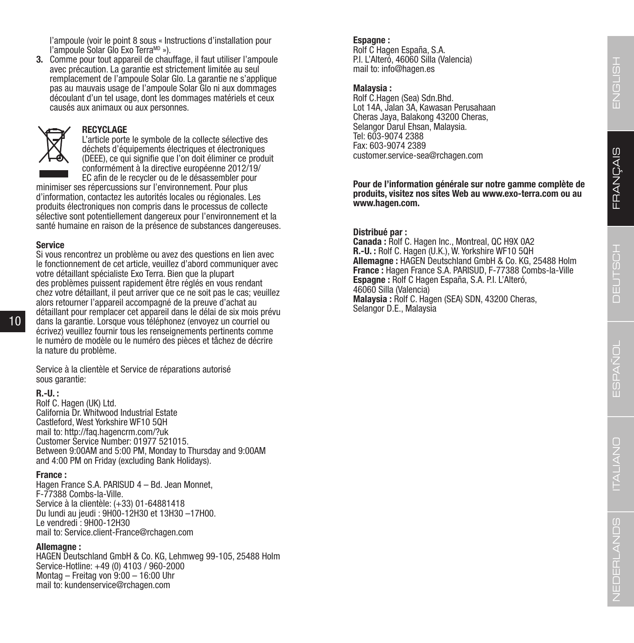l'ampoule (voir le point 8 sous « Instructions d'installation pour l'ampoule Solar Glo Exo TerraMD »).

**3.** Comme pour tout appareil de chauffage, il faut utiliser l'ampoule avec précaution. La garantie est strictement limitée au seul remplacement de l'ampoule Solar Glo. La garantie ne s'applique pas au mauvais usage de l'ampoule Solar Glo ni aux dommages découlant d'un tel usage, dont les dommages matériels et ceux causés aux animaux ou aux personnes.



#### **RECYCLAGE**

L'article porte le symbole de la collecte sélective des déchets d'équipements électriques et électroniques (DEEE), ce qui signifie que l'on doit éliminer ce produit conformément à la directive européenne 2012/19/ EC afin de le recycler ou de le désassembler pour

minimiser ses répercussions sur l'environnement. Pour plus d'information, contactez les autorités locales ou régionales. Les produits électroniques non compris dans le processus de collecte sélective sont potentiellement dangereux pour l'environnement et la santé humaine en raison de la présence de substances dangereuses.

### **Service**

Si vous rencontrez un problème ou avez des questions en lien avec le fonctionnement de cet article, veuillez d'abord communiquer avec votre détaillant spécialiste Exo Terra. Bien que la plupart des problèmes puissent rapidement être réglés en vous rendant chez votre détaillant, il peut arriver que ce ne soit pas le cas; veuillez alors retourner l'appareil accompagné de la preuve d'achat au détaillant pour remplacer cet appareil dans le délai de six mois prévu dans la garantie. Lorsque vous téléphonez (envoyez un courriel ou écrivez) veuillez fournir tous les renseignements pertinents comme le numéro de modèle ou le numéro des pièces et tâchez de décrire la nature du problème.

Service à la clientèle et Service de réparations autorisé sous garantie:

#### **R.-U. :**

10

Rolf C. Hagen (UK) Ltd. California Dr. Whitwood Industrial Estate Castleford, West Yorkshire WF10 5QH mail to: http://faq.hagencrm.com/?uk Customer Service Number: 01977 521015. Between 9:00AM and 5:00 PM, Monday to Thursday and 9:00AM and 4:00 PM on Friday (excluding Bank Holidays).

**France :<br>Hagen France S.A. PARISUD 4 – Bd. Jean Monnet,** F-77388 Combs-la-Ville. Service à la clientèle: (+33) 01-64881418 Du lundi au jeudi : 9H00-12H30 et 13H30 –17H00. Le vendredi : 9H00-12H30 mail to: Service.client-France@rchagen.com

#### **Allemagne :**

HAGEN Deutschland GmbH & Co. KG, Lehmweg 99-105, 25488 Holm Service-Hotline: +49 (0) 4103 / 960-2000 Montag – Freitag von 9:00 – 16:00 Uhr mail to: kundenservice@rchagen.com

### **Espagne :**

Rolf C Hagen España, S.A. P.I. L'Alteró, 46060 Silla (Valencia) mail to: info@hagen.es

#### **Malaysia :**

Rolf C.Hagen (Sea) Sdn.Bhd. Lot 14A, Jalan 3A, Kawasan Perusahaan Cheras Jaya, Balakong 43200 Cheras, Selangor Darul Ehsan, Malaysia. Tel: 603-9074 2388 Fax: 603-9074 2389 customer.service-sea@rchagen.com

**Pour de l'information générale sur notre gamme complète de produits, visitez nos sites Web au www.exo-terra.com ou au www.hagen.com.**

#### **Distribué par :**

**Canada :** Rolf C. Hagen Inc., Montreal, QC H9X 0A2 **R.-U. :** Rolf C. Hagen (U.K.), W. Yorkshire WF10 5QH **Allemagne :** HAGEN Deutschland GmbH & Co. KG, 25488 Holm **France :** Hagen France S.A. PARISUD, F-77388 Combs-la-Ville **Espagne :** Rolf C Hagen España, S.A. P.I. L'Alteró, 46060 Silla (Valencia) **Malaysia :** Rolf C. Hagen (SEA) SDN, 43200 Cheras, Selangor D.E., Malaysia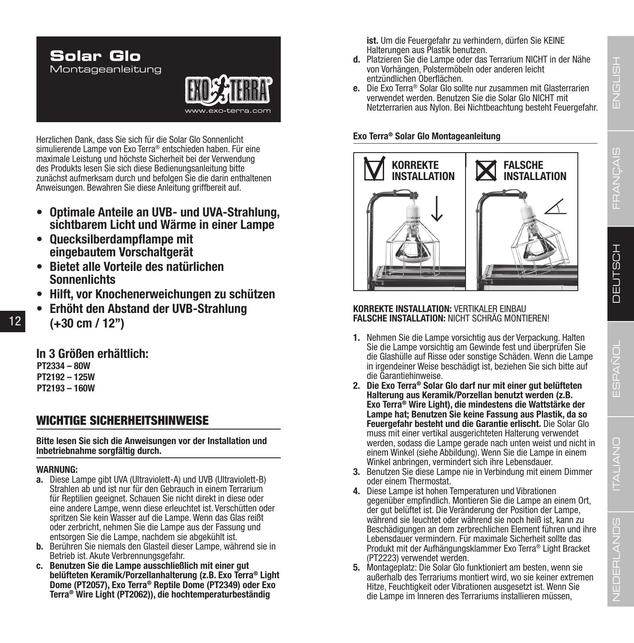

Herzlichen Dank, dass Sie sich für die Solar Glo Sonnenlicht simulierende Lampe von Exo Terra® entschieden haben. Für eine maximale Leistung und höchste Sicherheit bei der Verwendung des Produkts lesen Sie sich diese Bedienungsanleitung bitte zunächst aufmerksam durch und befolgen Sie die darin enthaltenen Anweisungen. Bewahren Sie diese Anleitung griffbereit auf.

- **• Optimale Anteile an UVB- und UVA-Strahlung, sichtbarem Licht und Wärme in einer Lampe**
- **• Quecksilberdampflampe mit eingebautem Vorschaltgerät**
- **• Bietet alle Vorteile des natürlichen Sonnenlichts**
- **• Hilft, vor Knochenerweichungen zu schützen**
- **• Erhöht den Abstand der UVB-Strahlung (+30 cm / 12")**

**In 3 Größen erhältlich: PT2334 – 80W PT2192 – 125W PT2193 – 160W**

### WICHTIGE SICHERHEITSHINWEISE

**Bitte lesen Sie sich die Anweisungen vor der Installation und Inbetriebnahme sorgfältig durch.**

### **WARNUNG:**

- **a.** Diese Lampe gibt UVA (Ultraviolett-A) und UVB (Ultraviolett-B) Strahlen ab und ist nur für den Gebrauch in einem Terrarium für Reptilien geeignet. Schauen Sie nicht direkt in diese oder eine andere Lampe, wenn diese erleuchtet ist. Verschütten oder spritzen Sie kein Wasser auf die Lampe. Wenn das Glas reißt oder zerbricht, nehmen Sie die Lampe aus der Fassung und entsorgen Sie die Lampe, nachdem sie abgekühlt ist.
- **b.** Berühren Sie niemals den Glasteil dieser Lampe, während sie in Betrieb ist. Akute Verbrennungsgefahr.
- **c. Benutzen Sie die Lampe ausschließlich mit einer gut belüfteten Keramik/Porzellanhalterung (z.B. Exo Terra® Light Terra<sup>®</sup> Wire Light (PT2062)), die hochtemperaturbeständig**

**ist.** Um die Feuergefahr zu verhindern, dürfen Sie KEINE Halterungen aus Plastik benutzen.

- **d.** Platzieren Sie die Lampe oder das Terrarium NICHT in der Nähe von Vorhängen, Polstermöbeln oder anderen leicht entzündlichen Oberflächen.
- **e.** Die Exo Terra® Solar Glo sollte nur zusammen mit Glasterrarien verwendet werden. Benutzen Sie die Solar Glo NICHT mit Netzterrarien aus Nylon. Bei Nichtbeachtung besteht Feuergefahr.

### **Exo Terra® Solar Glo Montageanleitung**



### **KORREKTE INSTALLATION:** VERTIKALER EINBAU **FALSCHE INSTALLATION:** NICHT SCHRÄG MONTIEREN!

- **1.** Nehmen Sie die Lampe vorsichtig aus der Verpackung. Halten Sie die Lampe vorsichtig am Gewinde fest und überprüfen Sie die Glashülle auf Risse oder sonstige Schäden. Wenn die Lampe in irgendeiner Weise beschädigt ist, beziehen Sie sich bitte auf die Garantiehinweise.
- **2. Die Exo Terra® Solar Glo darf nur mit einer gut belüfteten Halterung aus Keramik/Porzellan benutzt werden (z.B. Exo Terra® Wire Light), die mindestens die Wattstärke der Lampe hat; Benutzen Sie keine Fassung aus Plastik, da so**   $m$ uss mit einer vertikal ausgerichteten Halterung verwendet werden, sodass die Lampe gerade nach unten weist und nicht in einem Winkel (siehe Abbildung). Wenn Sie die Lampe in einem Winkel anbringen, vermindert sich ihre Lebensdauer.
- **3.** Benutzen Sie diese Lampe nie in Verbindung mit einem Dimmer oder einem Thermostat.
- **4.** Diese Lampe ist hohen Temperaturen und Vibrationen gegenüber empfindlich. Montieren Sie die Lampe an einem Ort, der gut belüftet ist. Die Veränderung der Position der Lampe, während sie leuchtet oder während sie noch heiß ist, kann zu Beschädigungen an dem zerbrechlichen Element führen und ihre Lebensdauer vermindern. Für maximale Sicherheit sollte das Produkt mit der Aufhängungsklammer Exo Terra® Light Bracket (PT2223) verwendet werden.
- **5.** Montageplatz: Die Solar Glo funktioniert am besten, wenn sie außerhalb des Terrariums montiert wird, wo sie keiner extremen Hitze, Feuchtigkeit oder Vibrationen ausgesetzt ist. Wenn Sie die Lampe im Inneren des Terrariums installieren müssen,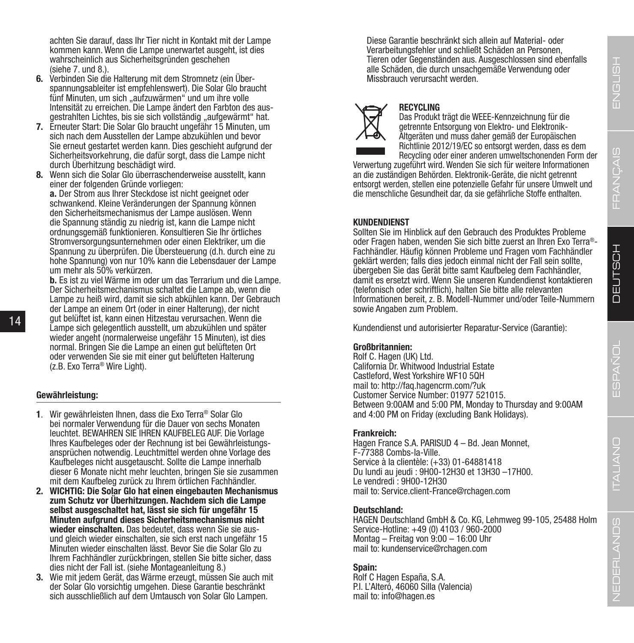ITALIANO

achten Sie darauf, dass Ihr Tier nicht in Kontakt mit der Lampe kommen kann. Wenn die Lampe unerwartet ausgeht, ist dies wahrscheinlich aus Sicherheitsgründen geschehen (siehe 7. und 8.).

- **6.** Verbinden Sie die Halterung mit dem Stromnetz (ein Überspannungsableiter ist empfehlenswert). Die Solar Glo braucht fünf Minuten, um sich "aufzuwärmen" und um ihre volle Intensität zu erreichen. Die Lampe ändert den Farbton des ausgestrahlten Lichtes, bis sie sich vollständig "aufgewärmt" hat.
- **7.** Erneuter Start: Die Solar Glo braucht ungefähr 15 Minuten, um sich nach dem Ausstellen der Lampe abzukühlen und bevor Sie erneut gestartet werden kann. Dies geschieht aufgrund der Sicherheitsvorkehrung, die dafür sorgt, dass die Lampe nicht durch Überhitzung beschädigt wird.
- **8.** Wenn sich die Solar Glo überraschenderweise ausstellt, kann einer der folgenden Gründe vorliegen:

**a.** Der Strom aus Ihrer Steckdose ist nicht geeignet oder schwankend. Kleine Veränderungen der Spannung können den Sicherheitsmechanismus der Lampe auslösen. Wenn die Spannung ständig zu niedrig ist, kann die Lampe nicht ordnungsgemäß funktionieren. Konsultieren Sie Ihr örtliches Stromversorgungsunternehmen oder einen Elektriker, um die Spannung zu überprüfen. Die Übersteuerung (d.h. durch eine zu hohe Spannung) von nur 10% kann die Lebensdauer der Lampe um mehr als 50% verkürzen.

**b.** Es ist zu viel Wärme im oder um das Terrarium und die Lampe. Der Sicherheitsmechanismus schaltet die Lampe ab, wenn die Lampe zu heiß wird, damit sie sich abkühlen kann. Der Gebrauch der Lampe an einem Ort (oder in einer Halterung), der nicht gut belüftet ist, kann einen Hitzestau verursachen. Wenn die Lampe sich gelegentlich ausstellt, um abzukühlen und später wieder angeht (normalerweise ungefähr 15 Minuten), ist dies normal. Bringen Sie die Lampe an einen gut belüfteten Ort oder verwenden Sie sie mit einer gut belüfteten Halterung (z.B. Exo Terra® Wire Light).

### **Gewährleistung:**

14

- **<sup>1</sup>**. Wir gewährleisten Ihnen, dass die Exo Terra® Solar Glo bei normaler Verwendung für die Dauer von sechs Monaten leuchtet. BEWAHREN SIE IHREN KAUFBELEG AUF. Die Vorlage ansprüchen notwendig. Leuchtmittel werden ohne Vorlage des Kaufbeleges nicht ausgetauscht. Sollte die Lampe innerhalb dieser 6 Monate nicht mehr leuchten, bringen Sie sie zusammen mit dem Kaufbeleg zurück zu Ihrem örtlichen Fachhändler.
- **2. WICHTIG: Die Solar Glo hat einen eingebauten Mechanismus zum Schutz vor Überhitzungen. Nachdem sich die Lampe selbst ausgeschaltet hat, lässt sie sich für ungefähr 15 Minuten aufgrund dieses Sicherheitsmechanismus nicht wieder einschalten.** Das bedeutet, dass wenn Sie sie ausund gleich wieder einschalten, sie sich erst nach ungefähr 15 Minuten wieder einschalten lässt. Bevor Sie die Solar Glo zu Ihrem Fachhändler zurückbringen, stellen Sie bitte sicher, dass dies nicht der Fall ist. (siehe Montageanleitung 8.)
- **3.** Wie mit jedem Gerät, das Wärme erzeugt, müssen Sie auch mit der Solar Glo vorsichtig umgehen. Diese Garantie beschränkt sich ausschließlich auf dem Umtausch von Solar Glo Lampen.

Diese Garantie beschränkt sich allein auf Material- oder Verarbeitungsfehler und schließt Schäden an Personen, Tieren oder Gegenständen aus. Ausgeschlossen sind ebenfalls alle Schäden, die durch unsachgemäße Verwendung oder Missbrauch verursacht werden.



### **RECYCLING**

Das Produkt trägt die WEEE-Kennzeichnung für die getrennte Entsorgung von Elektro- und Elektronik-Altgeräten und muss daher gemäß der Europäischen Richtlinie 2012/19/EC so entsorgt werden, dass es dem Recycling oder einer anderen umweltschonenden Form der

Verwertung zugeführt wird. Wenden Sie sich für weitere Informationen an die zuständigen Behörden. Elektronik-Geräte, die nicht getrennt entsorgt werden, stellen eine potenzielle Gefahr für unsere Umwelt und die menschliche Gesundheit dar, da sie gefährliche Stoffe enthalten.

### **KUNDENDIENST**

Sollten Sie im Hinblick auf den Gebrauch des Produktes Probleme oder Fragen haben, wenden Sie sich bitte zuerst an Ihren Exo Terra®-Fachhändler. Häufig können Probleme und Fragen vom Fachhändler. geklärt werden; falls dies jedoch einmal nicht der Fall sein sollte, übergeben Sie das Gerät bitte samt Kaufbeleg dem Fachhändler, damit es ersetzt wird. Wenn Sie unseren Kundendienst kontaktieren (telefonisch oder schriftlich), halten Sie bitte alle relevanten Informationen bereit, z. B. Modell-Nummer und/oder Teile-Nummern sowie Angaben zum Problem.

Kundendienst und autorisierter Reparatur-Service (Garantie):

### **Großbritannien:**

Rolf C. Hagen (UK) Ltd. California Dr. Whitwood Industrial Estate Castleford, West Yorkshire WF10 5QH mail to: http://faq.hagencrm.com/?uk Customer Service Number: 01977 521015. Between 9:00AM and 5:00 PM, Monday to Thursday and 9:00AM and 4:00 PM on Friday (excluding Bank Holidays).

### **Frankreich:**

Hagen France S.A. PARISUD 4 – Bd. Jean Monnet, F-77388 Combs-la-Ville. Service à la clientèle: (+33) 01-64881418 Du lundi au jeudi : 9H00-12H30 et 13H30 –17H00. Le vendredi : 9H00-12H30 mail to: Service.client-France@rchagen.com

#### **Deutschland:**

HAGEN Deutschland GmbH & Co. KG, Lehmweg 99-105, 25488 Holm Service-Hotline: +49 (0) 4103 / 960-2000 Montag – Freitag von 9:00 – 16:00 Uhr mail to: kundenservice@rchagen.com

### **Spain:**

Rolf C Hagen España, S.A. P.I. L'Alteró, 46060 Silla (Valencia) mail to: info@hagen.es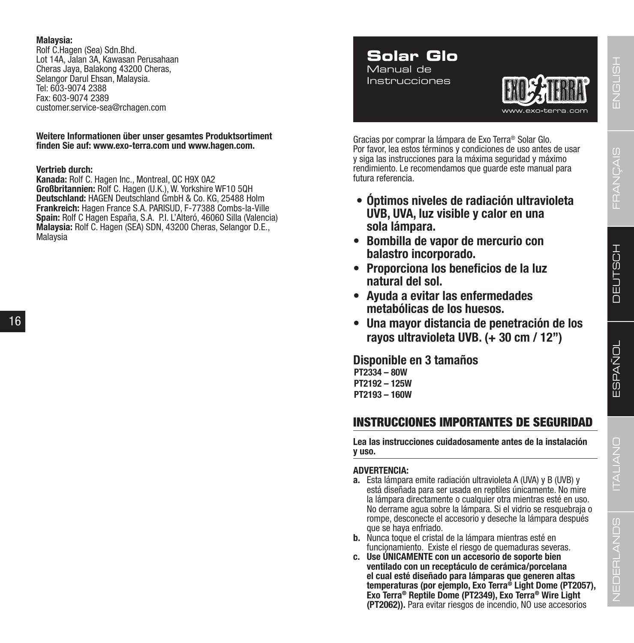### **Malaysia:**

Rolf C.Hagen (Sea) Sdn.Bhd. Lot 14A, Jalan 3A, Kawasan Perusahaan Cheras Jaya, Balakong 43200 Cheras, Selangor Darul Ehsan, Malaysia. Tel: 603-9074 2388 Fax: 603-9074 2389 customer.service-sea@rchagen.com

### **Weitere Informationen über unser gesamtes Produktsortiment finden Sie auf: www.exo-terra.com und www.hagen.com.**

### **Vertrieb durch:**

**Kanada:** Rolf C. Hagen Inc., Montreal, QC H9X 0A2 **Großbritannien:** Rolf C. Hagen (U.K.), W. Yorkshire WF10 5QH **Deutschland:** HAGEN Deutschland GmbH & Co. KG, 25488 Holm **Frankreich:** Hagen France S.A. PARISUD, F-77388 Combs-la-Ville **Spain:** Rolf C Hagen España, S.A. P.I. L'Alteró, 46060 Silla (Valencia) **Malaysia:** Rolf C. Hagen (SEA) SDN, 43200 Cheras, Selangor D.E., Malaysia

### **Solar Glo** Manual de

Instrucciones



Gracias por comprar la lámpara de Exo Terra® Solar Glo. Por favor, lea estos términos y condiciones de uso antes de usar y siga las instrucciones para la máxima seguridad y máximo rendimiento. Le recomendamos que guarde este manual para futura referencia.

- **• Óptimos niveles de radiación ultravioleta UVB, UVA, luz visible y calor en una sola lámpara.**
- **• Bombilla de vapor de mercurio con balastro incorporado.**
- **• Proporciona los beneficios de la luz natural del sol.**
- **• Ayuda a evitar las enfermedades metabólicas de los huesos.**
- **• Una mayor distancia de penetración de los rayos ultravioleta UVB. (+ 30 cm / 12")**

**Disponible en 3 tamaños PT2334 – 80W PT2192 – 125W PT2193 – 160W**

### INSTRUCCIONES IMPORTANTES DE SEGURIDAD

**Lea las instrucciones cuidadosamente antes de la instalación y uso.**

### **ADVERTENCIA:**

- **a.** Esta lámpara emite radiación ultravioleta A (UVA) y B (UVB) y está diseñada para ser usada en reptiles únicamente. No mire la lámpara directamente o cualquier otra mientras esté en uso. No derrame agua sobre la lámpara. Si el vidrio se resquebraja o rompe, desconecte el accesorio y deseche la lámpara después que se haya enfriado.
- **b.** Nunca toque el cristal de la lámpara mientras esté en funcionamiento. Existe el riesgo de quemaduras severas.
- **c. Use ÚNICAMENTE con un accesorio de soporte bien ventilado con un receptáculo de cerámica/porcelana el cual esté diseñado para lámparas que generen altas temperaturas (por ejemplo, Exo Terra® Light Dome (PT2057), Exo Terra® Reptile Dome (PT2349), Exo Terra® Wire Light (PT2062)).** Para evitar riesgos de incendio, NO use accesorios

 $\frac{\alpha}{\mu}$ 묘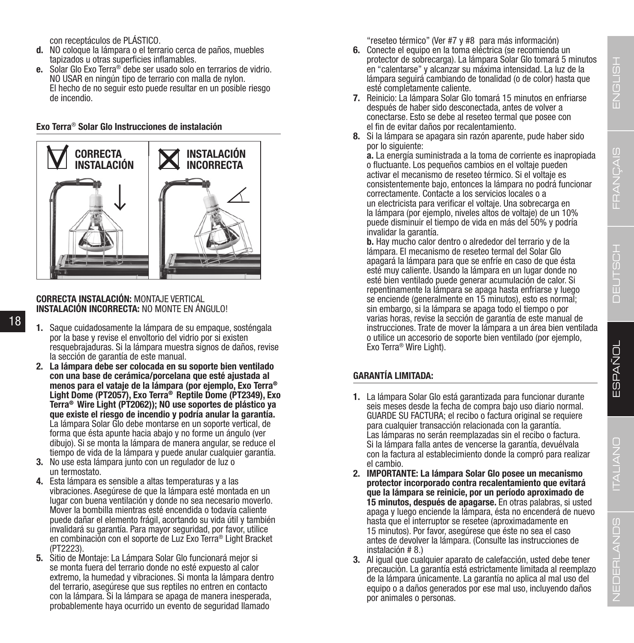ENGLISH

ITALIANO

con receptáculos de PLÁSTICO.

- **d.** NO coloque la lámpara o el terrario cerca de paños, muebles tapizados u otras superficies inflamables.
- **e.** Solar Glo Exo Terra® debe ser usado solo en terrarios de vidrio. NO USAR en ningún tipo de terrario con malla de nylon. El hecho de no seguir esto puede resultar en un posible riesgo de incendio.

**Exo Terra**® **Solar Glo Instrucciones de instalación**



### **CORRECTA INSTALACIÓN:** MONTAJE VERTICAL **INSTALACIÓN INCORRECTA:** NO MONTE EN ÁNGULO!

- 18
- **1.** Saque cuidadosamente la lámpara de su empaque, sosténgala por la base y revise el envoltorio del vidrio por si existen resquebrajaduras. Si la lámpara muestra signos de daños, revise la sección de garantía de este manual.
- **2. La lámpara debe ser colocada en su soporte bien ventilado con una base de cerámica/porcelana que esté ajustada al menos para el vataje de la lámpara (por ejemplo, Exo Terra®**  Terra<sup>®</sup> Wire Light (PT2062)); NO use soportes de plástico ya **que existe el riesgo de incendio y podría anular la garantía.**  La lámpara Solar Glo debe montarse en un soporte vertical, de forma que ésta apunte hacia abajo y no forme un ángulo (ver dibujo). Si se monta la lámpara de manera angular, se reduce el tiempo de vida de la lámpara y puede anular cualquier garantía.
- **3.** No use esta lámpara junto con un regulador de luz o un termostato.
- **4.** Esta lámpara es sensible a altas temperaturas y a las vibraciones. Asegúrese de que la lámpara esté montada en un lugar con buena ventilación y donde no sea necesario moverlo. Mover la bombilla mientras esté encendida o todavía caliente puede dañar el elemento frágil, acortando su vida útil y también invalidará su garantía. Para mayor seguridad, por favor, utilice en combinación con el soporte de Luz Exo Terra® Light Bracket (PT2223).
- **5.** Sitio de Montaje: La Lámpara Solar Glo funcionará mejor si se monta fuera del terrario donde no esté expuesto al calor extremo, la humedad y vibraciones. Si monta la lámpara dentro del terrario, asegúrese que sus reptiles no entren en contacto con la lámpara. Si la lámpara se apaga de manera inesperada, probablemente haya ocurrido un evento de seguridad llamado

"reseteo térmico" (Ver #7 y #8 para más información)

- **6.** Conecte el equipo en la toma eléctrica (se recomienda un protector de sobrecarga). La lámpara Solar Glo tomará 5 minutos en "calentarse" y alcanzar su máxima intensidad. La luz de la lámpara seguirá cambiando de tonalidad (o de color) hasta que esté completamente caliente.
- **7.** Reinicio: La lámpara Solar Glo tomará 15 minutos en enfriarse después de haber sido desconectada, antes de volver a conectarse. Esto se debe al reseteo termal que posee con el fin de evitar daños por recalentamiento.
- **8.** Si la lámpara se apagara sin razón aparente, pude haber sido por lo siguiente:

**a.** La energía suministrada a la toma de corriente es inapropiada o fluctuante. Los pequeños cambios en el voltaje pueden activar el mecanismo de reseteo térmico. Si el voltaje es consistentemente bajo, entonces la lámpara no podrá funcionar correctamente. Contacte a los servicios locales o a un electricista para verificar el voltaje. Una sobrecarga en la lámpara (por ejemplo, niveles altos de voltaje) de un 10% puede disminuir el tiempo de vida en más del 50% y podría invalidar la garantía.

**b.** Hay mucho calor dentro o alrededor del terrario y de la lámpara. El mecanismo de reseteo termal del Solar Glo apagará la lámpara para que se enfríe en caso de que ésta esté muy caliente. Usando la lámpara en un lugar donde no esté bien ventilado puede generar acumulación de calor. Si repentinamente la lámpara se apaga hasta enfriarse y luego se enciende (generalmente en 15 minutos), esto es normal; sin embargo, si la lámpara se apaga todo el tiempo o por varias horas, revise la sección de garantía de este manual de instrucciones. Trate de mover la lámpara a un área bien ventilada o utilice un accesorio de soporte bien ventilado (por ejemplo, Exo Terra® Wire Light).

### **GARANTÍA LIMITADA:**

- **1.** La lámpara Solar Glo está garantizada para funcionar durante seis meses desde la fecha de compra bajo uso diario normal. GUARDE SU FACTURA; el recibo o factura original se requiere para cualquier transacción relacionada con la garantía. Las lámparas no serán reemplazadas sin el recibo o factura. Si la lámpara falla antes de vencerse la garantía, devuélvala con la factura al establecimiento donde la compró para realizar el cambio.
- **2. IMPORTANTE: La lámpara Solar Glo posee un mecanismo protector incorporado contra recalentamiento que evitará que la lámpara se reinicie, por un período aproximado de 15 minutos, después de apagarse.** En otras palabras, si usted apaga y luego enciende la lámpara, ésta no encenderá de nuevo hasta que el interruptor se resetee (aproximadamente en 15 minutos). Por favor, asegúrese que éste no sea el caso antes de devolver la lámpara. (Consulte las instrucciones de instalación # 8.)
- **3.** Al igual que cualquier aparato de calefacción, usted debe tener precaución. La garantía está estrictamente limitada al reemplazo de la lámpara únicamente. La garantía no aplica al mal uso del equipo o a daños generados por ese mal uso, incluyendo daños por animales o personas.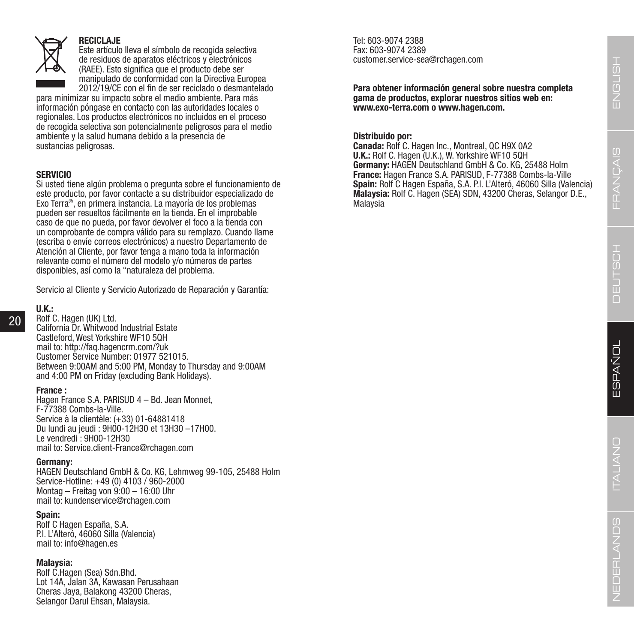### **RECICLAJE**

Este artículo lleva el símbolo de recogida selectiva de residuos de aparatos eléctricos y electrónicos (RAEE). Esto significa que el producto debe ser manipulado de conformidad con la Directiva Europea 2012/19/CE con el fin de ser reciclado o desmantelado

para minimizar su impacto sobre el medio ambiente. Para más información póngase en contacto con las autoridades locales o regionales. Los productos electrónicos no incluidos en el proceso de recogida selectiva son potencialmente peligrosos para el medio ambiente y la salud humana debido a la presencia de sustancias peligrosas.

### **SERVICIO**

Si usted tiene algún problema o pregunta sobre el funcionamiento de este producto, por favor contacte a su distribuidor especializado de Exo Terra®, en primera instancia. La mayoría de los problemas pueden ser resueltos fácilmente en la tienda. En el improbable caso de que no pueda, por favor devolver el foco a la tienda con un comprobante de compra válido para su remplazo. Cuando llame (escriba o envíe correos electrónicos) a nuestro Departamento de Atención al Cliente, por favor tenga a mano toda la información relevante como el número del modelo y/o números de partes disponibles, así como la "naturaleza del problema.

Servicio al Cliente y Servicio Autorizado de Reparación y Garantía:

### **U.K.:**

20

Rolf C. Hagen (UK) Ltd. California Dr. Whitwood Industrial Estate Castleford, West Yorkshire WF10 5QH mail to: http://faq.hagencrm.com/?uk Customer Service Number: 01977 521015. Between 9:00AM and 5:00 PM, Monday to Thursday and 9:00AM and 4:00 PM on Friday (excluding Bank Holidays).

### **France :**

Hagen France S.A. PARISUD 4 – Bd. Jean Monnet, F-77388 Combs-la-Ville. Service à la clientèle: (+33) 01-64881418 Du lundi au jeudi : 9H00-12H30 et 13H30 –17H00. Le vendredi : 9H00-12H30 mail to: Service.client-France@rchagen.com

### **Germany:**

HAGEN Deutschland GmbH & Co. KG, Lehmweg 99-105, 25488 Holm Service-Hotline: +49 (0) 4103 / 960-2000 Montag – Freitag von 9:00 – 16:00 Uhr mail to: kundenservice@rchagen.com

### **Spain:**

Rolf C Hagen España, S.A. P.I. L'Alteró, 46060 Silla (Valencia) mail to: info@hagen.es

### **Malaysia:**

Rolf C.Hagen (Sea) Sdn.Bhd. Lot 14A, Jalan 3A, Kawasan Perusahaan Cheras Jaya, Balakong 43200 Cheras, Selangor Darul Ehsan, Malaysia.

Tel: 603-9074 2388 Fax: 603-9074 2389 customer.service-sea@rchagen.com

**Para obtener información general sobre nuestra completa gama de productos, explorar nuestros sitios web en: www.exo-terra.com o www.hagen.com.**

### **Distribuido por:**

**Canada:** Rolf C. Hagen Inc., Montreal, QC H9X 0A2 **U.K.:** Rolf C. Hagen (U.K.), W. Yorkshire WF10 5QH **Germany:** HAGEN Deutschland GmbH & Co. KG, 25488 Holm **France:** Hagen France S.A. PARISUD, F-77388 Combs-la-Ville **Spain:** Rolf C Hagen España, S.A. P.I. L'Alteró, 46060 Silla (Valencia) **Malaysia:** Rolf C. Hagen (SEA) SDN, 43200 Cheras, Selangor D.E., Malaysia

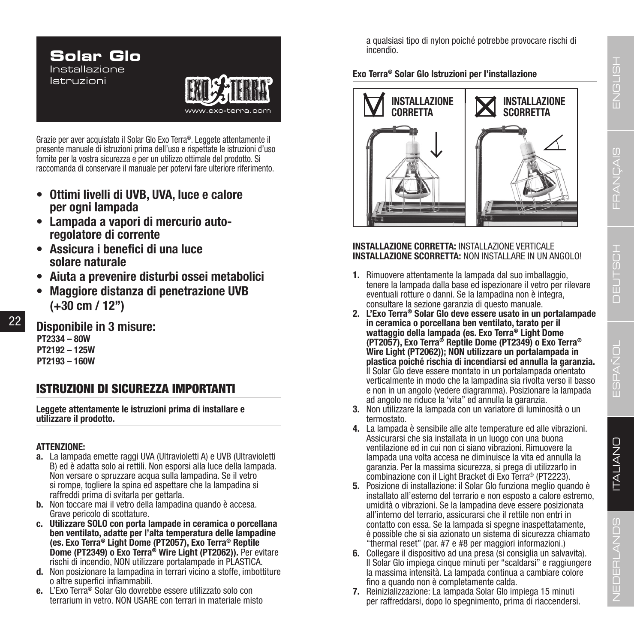# **Solar Glo** Installazione Istruzioni

Grazie per aver acquistato il Solar Glo Exo Terra®. Leggete attentamente il presente manuale di istruzioni prima dell'uso e rispettate le istruzioni d'uso fornite per la vostra sicurezza e per un utilizzo ottimale del prodotto. Si raccomanda di conservare il manuale per potervi fare ulteriore riferimento.

- **• Ottimi livelli di UVB, UVA, luce e calore per ogni lampada**
- **• Lampada a vapori di mercurio autoregolatore di corrente**
- **• Assicura i benefici di una luce solare naturale**
- **• Aiuta a prevenire disturbi ossei metabolici**
- **• Maggiore distanza di penetrazione UVB (+30 cm / 12")**

**Disponibile in 3 misure: PT2334 – 80W PT2192 – 125W**

**PT2193 – 160W**

### ISTRUZIONI DI SICUREZZA IMPORTANTI

**Leggete attentamente le istruzioni prima di installare e utilizzare il prodotto.**

### **ATTENZIONE:**

- **a.** La lampada emette raggi UVA (Ultravioletti A) e UVB (Ultravioletti B) ed è adatta solo ai rettili. Non esporsi alla luce della lampada. Non versare o spruzzare acqua sulla lampadina. Se il vetro si rompe, togliere la spina ed aspettare che la lampadina si raffreddi prima di svitarla per gettarla.
- **b.** Non toccare mai il vetro della lampadina quando è accesa. Grave pericolo di scottature.
- **c. Utilizzare SOLO con porta lampade in ceramica o porcellana ben ventilato, adatte per l'alta temperatura delle lampadine (es. Exo Terra® Light Dome (PT2057), Exo Terra® Reptile Dome (PT2349) o Exo Terra® Wire Light (PT2062)).** Per evitare rischi di incendio, NON utilizzare portalampade in PLASTICA.
- **d.** Non posizionare la lampadina in terrari vicino a stoffe, imbottiture o altre superfici infiammabili.
- **e.** L'Exo Terra® Solar Glo dovrebbe essere utilizzato solo con terrarium in vetro. NON USARE con terrari in materiale misto

a qualsiasi tipo di nylon poiché potrebbe provocare rischi di incendio.

### **Exo Terra® Solar Glo Istruzioni per l'installazione**



### **INSTALLAZIONE CORRETTA:** INSTALLAZIONE VERTICALE **INSTALLAZIONE SCORRETTA:** NON INSTALLARE IN UN ANGOLO!

- **1.** Rimuovere attentamente la lampada dal suo imballaggio, tenere la lampada dalla base ed ispezionare il vetro per rilevare eventuali rotture o danni. Se la lampadina non è integra, consultare la sezione garanzia di questo manuale.
- **2. L'Exo Terra® Solar Glo deve essere usato in un portalampade in ceramica o porcellana ben ventilato, tarato per il wattaggio della lampada (es. Exo Terra® Light Dome (PT2057), Exo Terra® Reptile Dome (PT2349) o Exo Terra® Wire Light (PT2062)); NON utilizzare un portalampada in plastica poiché rischia di incendiarsi ed annulla la garanzia.** Il Solar Glo deve essere montato in un portalampada orientato verticalmente in modo che la lampadina sia rivolta verso il basso e non in un angolo (vedere diagramma). Posizionare la lampada ad angolo ne riduce la 'vita" ed annulla la garanzia.
- **3.** Non utilizzare la lampada con un variatore di luminosità o un termostato.
- **4.** La lampada è sensibile alle alte temperature ed alle vibrazioni. Assicurarsi che sia installata in un luogo con una buona ventilazione ed in cui non ci siano vibrazioni. Rimuovere la lampada una volta accesa ne diminuisce la vita ed annulla la garanzia. Per la massima sicurezza, si prega di utilizzarlo in combinazione con il Light Bracket di Exo Terra<sup>®</sup> (PT2223).
- **5.** Posizione di installazione: il Solar Glo funziona meglio quando è installato all'esterno del terrario e non esposto a calore estremo, umidità o vibrazioni. Se la lampadina deve essere posizionata all'interno del terrario, assicurarsi che il rettile non entri in contatto con essa. Se la lampada si spegne inaspettatamente, è possible che si sia azionato un sistema di sicurezza chiamato "thermal reset" (par. #7 e #8 per maggiori informazioni.)
- **6.** Collegare il dispositivo ad una presa (si consiglia un salvavita). Il Solar Glo impiega cinque minuti per "scaldarsi" e raggiungere la massima intensità. La lampada continua a cambiare colore fino a quando non è completamente calda.
- **7.** Reinizializzazione: La lampada Solar Glo impiega 15 minuti per raffreddarsi, dopo lo spegnimento, prima di riaccendersi.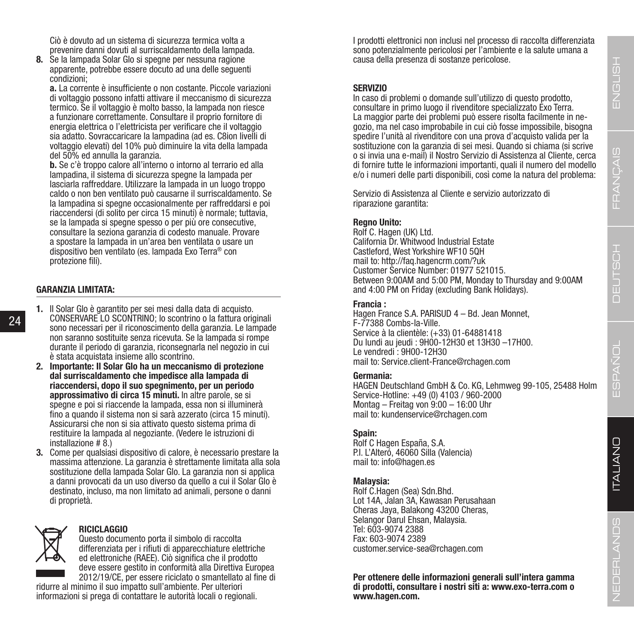Ciò è dovuto ad un sistema di sicurezza termica volta a prevenire danni dovuti al surriscaldamento della lampada.

**8.** Se la lampada Solar Glo si spegne per nessuna ragione apparente, potrebbe essere docuto ad una delle seguenti condizioni;

**a.** La corrente è insufficiente o non costante. Piccole variazioni di voltaggio possono infatti attivare il meccanismo di sicurezza termico. Se il voltaggio è molto basso, la lampada non riesce a funzionare correttamente. Consultare il proprio fornitore di energia elettrica o l'elettricista per verificare che il voltaggio sia adatto. Sovraccaricare la lampadina (ad es. C8ion livelli di voltaggio elevati) del 10% può diminuire la vita della lampada del 50% ed annulla la garanzia.

**b.** Se c'è troppo calore all'interno o intorno al terrario ed alla lampadina, il sistema di sicurezza spegne la lampada per lasciarla raffreddare. Utilizzare la lampada in un luogo troppo caldo o non ben ventilato può causarne il surriscaldamento. Se la lampadina si spegne occasionalmente per raffreddarsi e poi riaccendersi (di solito per circa 15 minuti) è normale; tuttavia, se la lampada si spegne spesso o per più ore consecutive, consultare la seziona garanzia di codesto manuale. Provare a spostare la lampada in un'area ben ventilata o usare un dispositivo ben ventilato (es. lampada Exo Terra® con protezione fili).

### **GARANZIA LIMITATA:**

24

- **1.** Il Solar Glo è garantito per sei mesi dalla data di acquisto. CONSERVARE LO SCONTRINO; lo scontrino o la fattura originali sono necessari per il riconoscimento della garanzia. Le lampade non saranno sostituite senza ricevuta. Se la lampada si rompe durante il periodo di garanzia, riconsegnarla nel negozio in cui è stata acquistata insieme allo scontrino.
	- **2. Importante: Il Solar Glo ha un meccanismo di protezione dal surriscaldamento che impedisce alla lampada di riaccendersi, dopo il suo spegnimento, per un periodo approssimativo di circa 15 minuti.** In altre parole, se si spegne e poi si riaccende la lampada, essa non si illuminerà fino a quando il sistema non si sarà azzerato (circa 15 minuti). Assicurarsi che non si sia attivato questo sistema prima di restituire la lampada al negoziante. (Vedere le istruzioni di installazione # 8.)
	- **3.** Come per qualsiasi dispositivo di calore, è necessario prestare la massima attenzione. La garanzia è strettamente limitata alla sola sostituzione della lampada Solar Glo. La garanzia non si applica a danni provocati da un uso diverso da quello a cui il Solar Glo è destinato, incluso, ma non limitato ad animali, persone o danni di proprietà.



### **RICICLAGGIO**

Questo documento porta il simbolo di raccolta differenziata per i rifiuti di apparecchiature elettriche ed elettroniche (RAEE). Ciò significa che il prodotto deve essere gestito in conformità alla Direttiva Europea 2012/19/CE, per essere riciclato o smantellato al fine di

ridurre al minimo il suo impatto sull'ambiente. Per ulteriori informazioni si prega di contattare le autorità locali o regionali. I prodotti elettronici non inclusi nel processo di raccolta differenziata sono potenzialmente pericolosi per l'ambiente e la salute umana a causa della presenza di sostanze pericolose.

#### **SERVIZIO**

In caso di problemi o domande sull'utilizzo di questo prodotto, consultare in primo luogo il rivenditore specializzato Exo Terra. La maggior parte dei problemi può essere risolta facilmente in negozio, ma nel caso improbabile in cui ciò fosse impossibile, bisogna spedire l'unità al rivenditore con una prova d'acquisto valida per la sostituzione con la garanzia di sei mesi. Quando si chiama (si scrive o si invia una e-mail) il Nostro Servizio di Assistenza al Cliente, cerca di fornire tutte le informazioni importanti, quali il numero del modello e/o i numeri delle parti disponibili, così come la natura del problema:

Servizio di Assistenza al Cliente e servizio autorizzato di riparazione garantita:

#### **Regno Unito:**

Rolf C. Hagen (UK) Ltd. California Dr. Whitwood Industrial Estate Castleford, West Yorkshire WF10 5QH mail to: http://faq.hagencrm.com/?uk Customer Service Number: 01977 521015. Between 9:00AM and 5:00 PM, Monday to Thursday and 9:00AM and 4:00 PM on Friday (excluding Bank Holidays).

#### **Francia :**

Hagen France S.A. PARISUD 4 – Bd. Jean Monnet, F-77388 Combs-la-Ville. Service à la clientèle: (+33) 01-64881418 Du lundi au jeudi : 9H00-12H30 et 13H30 –17H00. Le vendredi : 9H00-12H30 mail to: Service.client-France@rchagen.com

### **Germania:**

HAGEN Deutschland GmbH & Co. KG, Lehmweg 99-105, 25488 Holm Service-Hotline: +49 (0) 4103 / 960-2000 Montag – Freitag von 9:00 – 16:00 Uhr mail to: kundenservice@rchagen.com

### **Spain:**

Rolf C Hagen España, S.A. P.I. L'Alteró, 46060 Silla (Valencia) mail to: info@hagen.es

### **Malaysia:**

Rolf C.Hagen (Sea) Sdn.Bhd. Lot 14A, Jalan 3A, Kawasan Perusahaan Cheras Jaya, Balakong 43200 Cheras, Selangor Darul Ehsan, Malaysia. Tel: 603-9074 2388 Fax: 603-9074 2389 customer.service-sea@rchagen.com

**Per ottenere delle informazioni generali sull'intera gamma di prodotti, consultare i nostri siti a: www.exo-terra.com o www.hagen.com.**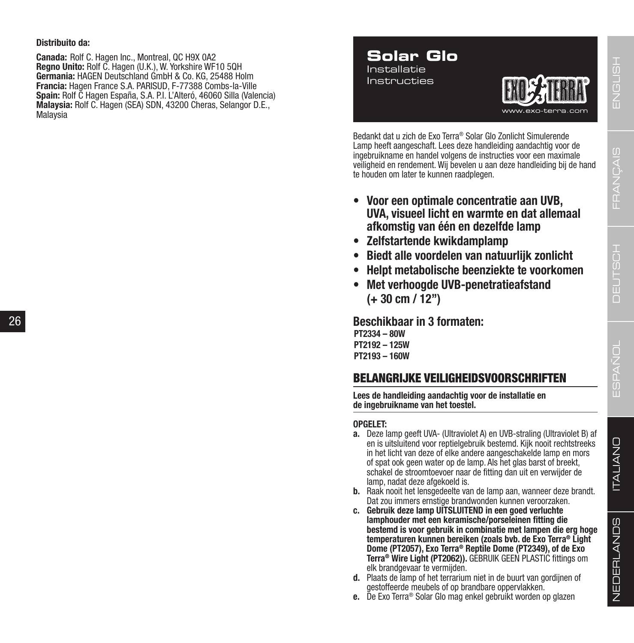### **Distribuito da:**

**Canada:** Rolf C. Hagen Inc., Montreal, QC H9X 0A2 **Regno Unito:** Rolf C. Hagen (U.K.), W. Yorkshire WF10 5QH **Germania:** HAGEN Deutschland GmbH & Co. KG, 25488 Holm **Francia:** Hagen France S.A. PARISUD, F-77388 Combs-la-Ville **Spain:** Rolf C Hagen España, S.A. P.I. L'Alteró, 46060 Silla (Valencia) **Malaysia:** Rolf C. Hagen (SEA) SDN, 43200 Cheras, Selangor D.E., Malaysia

### **Solar Glo** Installatie Instructies



Bedankt dat u zich de Exo Terra® Solar Glo Zonlicht Simulerende Lamp heeft aangeschaft. Lees deze handleiding aandachtig voor de ingebruikname en handel volgens de instructies voor een maximale veiligheid en rendement. Wij bevelen u aan deze handleiding bij de hand te houden om later te kunnen raadplegen.

- **• Voor een optimale concentratie aan UVB, UVA, visueel licht en warmte en dat allemaal afkomstig van één en dezelfde lamp**
- **• Zelfstartende kwikdamplamp**
- **• Biedt alle voordelen van natuurlijk zonlicht**
- **• Helpt metabolische beenziekte te voorkomen**
- **• Met verhoogde UVB-penetratieafstand (+ 30 cm / 12")**

**Beschikbaar in 3 formaten:** 

**PT2334 – 80W PT2192 – 125W PT2193 – 160W**

### BELANGRIJKE VEILIGHEIDSVOORSCHRIFTEN

**Lees de handleiding aandachtig voor de installatie en de ingebruikname van het toestel.**

### **OPGELET:**

- **a.** Deze lamp geeft UVA- (Ultraviolet A) en UVB-straling (Ultraviolet B) af en is uitsluitend voor reptielgebruik bestemd. Kijk nooit rechtstreeks in het licht van deze of elke andere aangeschakelde lamp en mors of spat ook geen water op de lamp. Als het glas barst of breekt, schakel de stroomtoevoer naar de fitting dan uit en verwijder de lamp, nadat deze afgekoeld is.
- **b.** Raak nooit het lensgedeelte van de lamp aan, wanneer deze brandt. Dat zou immers ernstige brandwonden kunnen veroorzaken.
- **c. Gebruik deze lamp UITSLUITEND in een goed verluchte lamphouder met een keramische/porseleinen fitting die bestemd is voor gebruik in combinatie met lampen die erg hoge temperaturen kunnen bereiken (zoals bvb. de Exo Terra® Light Dome (PT2057), Exo Terra® Reptile Dome (PT2349), of de Exo Terra® Wire Light (PT2062)).** GEBRUIK GEEN PLASTIC fittings om elk brandgevaar te vermijden.
- **d.** Plaats de lamp of het terrarium niet in de buurt van gordijnen of gestoffeerde meubels of op brandbare oppervlakken.
- **e.** De Exo Terra® Solar Glo mag enkel gebruikt worden op glazen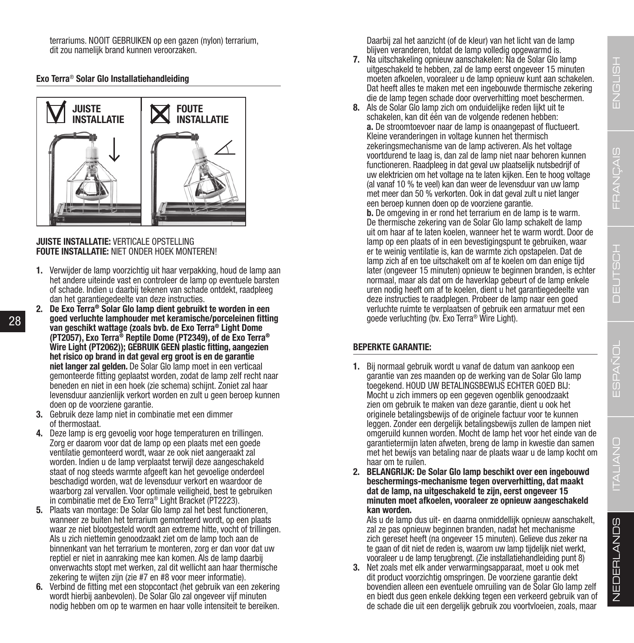П ITALIANO

terrariums. NOOIT GEBRUIKEN op een gazen (nylon) terrarium, dit zou namelijk brand kunnen veroorzaken.

### **Exo Terra**® **Solar Glo Installatiehandleiding**



### **JUISTE INSTALLATIE:** VERTICALE OPSTELLING **FOUTE INSTALLATIE:** NIET ONDER HOEK MONTEREN!

- **1.** Verwijder de lamp voorzichtig uit haar verpakking, houd de lamp aan het andere uiteinde vast en controleer de lamp op eventuele barsten of schade. Indien u daarbij tekenen van schade ontdekt, raadpleeg dan het garantiegedeelte van deze instructies.
- **2. De Exo Terra® Solar Glo lamp dient gebruikt te worden in een goed verluchte lamphouder met keramische/porceleinen fitting van geschikt wattage (zoals bvb. de Exo Terra® Light Dome (PT2057), Exo Terra® Reptile Dome (PT2349), of de Exo Terra® Wire Light (PT2062)); GEBRUIK GEEN plastic fitting, aangezien het risico op brand in dat geval erg groot is en de garantie niet langer zal gelden.** De Solar Glo lamp moet in een verticaal gemonteerde fitting geplaatst worden, zodat de lamp zelf recht naar beneden en niet in een hoek (zie schema) schijnt. Zoniet zal haar levensduur aanzienlijk verkort worden en zult u geen beroep kunnen doen op de voorziene garantie.
- **3.** Gebruik deze lamp niet in combinatie met een dimmer of thermostaat.
- **4.** Deze lamp is erg gevoelig voor hoge temperaturen en trillingen. Zorg er daarom voor dat de lamp op een plaats met een goede ventilatie gemonteerd wordt, waar ze ook niet aangeraakt zal worden. Indien u de lamp verplaatst terwijl deze aangeschakeld staat of nog steeds warmte afgeeft kan het gevoelige onderdeel beschadigd worden, wat de levensduur verkort en waardoor de waarborg zal vervallen. Voor optimale veiligheid, best te gebruiken in combinatie met de Exo Terra® Light Bracket (PT2223).
- **5.** Plaats van montage: De Solar Glo lamp zal het best functioneren, wanneer ze buiten het terrarium gemonteerd wordt, op een plaats waar ze niet blootgesteld wordt aan extreme hitte, vocht of trillingen. Als u zich niettemin genoodzaakt ziet om de lamp toch aan de binnenkant van het terrarium te monteren, zorg er dan voor dat uw reptiel er niet in aanraking mee kan komen. Als de lamp daarbij onverwachts stopt met werken, zal dit wellicht aan haar thermische zekering te wijten zijn (zie #7 en #8 voor meer informatie).
- **6.** Verbind de fitting met een stopcontact (het gebruik van een zekering wordt hierbij aanbevolen). De Solar Glo zal ongeveer vijf minuten nodig hebben om op te warmen en haar volle intensiteit te bereiken.

Daarbij zal het aanzicht (of de kleur) van het licht van de lamp blijven veranderen, totdat de lamp volledig opgewarmd is.

- **7.** Na uitschakeling opnieuw aanschakelen: Na de Solar Glo lamp uitgeschakeld te hebben, zal de lamp eerst ongeveer 15 minuten moeten afkoelen, vooraleer u de lamp opnieuw kunt aan schakelen. Dat heeft alles te maken met een ingebouwde thermische zekering die de lamp tegen schade door oververhitting moet beschermen.
- **8.** Als de Solar Glo lamp zich om onduidelijke reden lijkt uit te schakelen, kan dit één van de volgende redenen hebben: **a.** De stroomtoevoer naar de lamp is onaangepast of fluctueert. Kleine veranderingen in voltage kunnen het thermisch zekeringsmechanisme van de lamp activeren. Als het voltage voortdurend te laag is, dan zal de lamp niet naar behoren kunnen functioneren. Raadpleeg in dat geval uw plaatselijk nutsbedrijf of uw elektricien om het voltage na te laten kijken. Een te hoog voltage (al vanaf 10 % te veel) kan dan weer de levensduur van uw lamp met meer dan 50 % verkorten. Ook in dat geval zult u niet langer een beroep kunnen doen op de voorziene garantie. **b.** De omgeving in er rond het terrarium en de lamp is te warm.

De thermische zekering van de Solar Glo lamp schakelt de lamp uit om haar af te laten koelen, wanneer het te warm wordt. Door de lamp op een plaats of in een bevestigingspunt te gebruiken, waar er te weinig ventilatie is, kan de warmte zich opstapelen. Dat de lamp zich af en toe uitschakelt om af te koelen om dan enige tijd later (ongeveer 15 minuten) opnieuw te beginnen branden, is echter normaal, maar als dat om de haverklap gebeurt of de lamp enkele uren nodig heeft om af te koelen, dient u het garantiegedeelte van deze instructies te raadplegen. Probeer de lamp naar een goed verluchte ruimte te verplaatsen of gebruik een armatuur met een goede verluchting (bv. Exo Terra® Wire Light).

### **BEPERKTE GARANTIE:**

- **1.** Bij normaal gebruik wordt u vanaf de datum van aankoop een garantie van zes maanden op de werking van de Solar Glo lamp toegekend. HOUD UW BETALINGSBEWIJS ECHTER GOED BIJ: Mocht u zich immers op een gegeven ogenblik genoodzaakt zien om gebruik te maken van deze garantie, dient u ook het originele betalingsbewijs of de originele factuur voor te kunnen leggen. Zonder een dergelijk betalingsbewijs zullen de lampen niet omgeruild kunnen worden. Mocht de lamp het voor het einde van de garantietermijn laten afweten, breng de lamp in kwestie dan samen met het bewijs van betaling naar de plaats waar u de lamp kocht om haar om te ruilen.
- **2. BELANGRIJK: De Solar Glo lamp beschikt over een ingebouwd beschermings-mechanisme tegen oververhitting, dat maakt dat de lamp, na uitgeschakeld te zijn, eerst ongeveer 15 minuten moet afkoelen, vooraleer ze opnieuw aangeschakeld kan worden.**

Als u de lamp dus uit- en daarna onmiddellijk opnieuw aanschakelt, zal ze pas opnieuw beginnen branden, nadat het mechanisme zich gereset heeft (na ongeveer 15 minuten). Gelieve dus zeker na te gaan of dit niet de reden is, waarom uw lamp tijdelijk niet werkt, vooraleer u de lamp terugbrengt. (Zie installatiehandleiding punt 8)

**3.** Net zoals met elk ander verwarmingsapparaat, moet u ook met dit product voorzichtig omspringen. De voorziene garantie dekt bovendien alleen een eventuele omruiling van de Solar Glo lamp zelf en biedt dus geen enkele dekking tegen een verkeerd gebruik van of de schade die uit een dergelijk gebruik zou voortvloeien, zoals, maar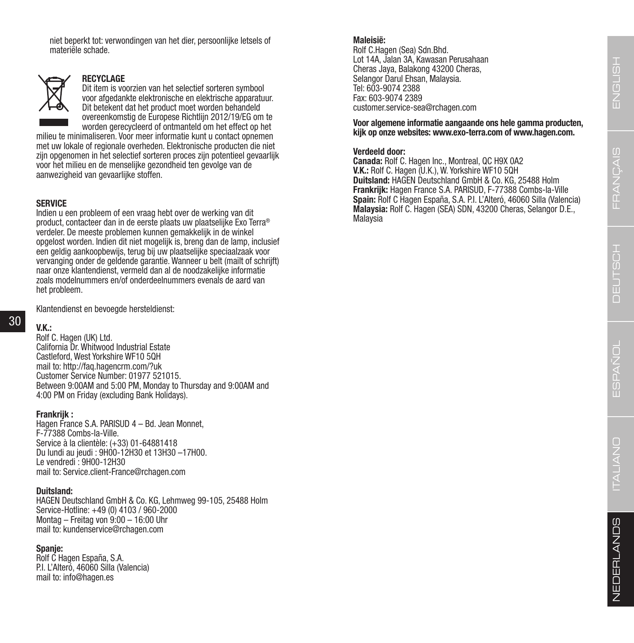niet beperkt tot: verwondingen van het dier, persoonlijke letsels of materiële schade.



### **RECYCLAGE**

Dit item is voorzien van het selectief sorteren symbool voor afgedankte elektronische en elektrische apparatuur. Dit betekent dat het product moet worden behandeld overeenkomstig de Europese Richtlijn 2012/19/EG om te worden gerecycleerd of ontmanteld om het effect op het

milieu te minimaliseren. Voor meer informatie kunt u contact opnemen met uw lokale of regionale overheden. Elektronische producten die niet zijn opgenomen in het selectief sorteren proces zijn potentieel gevaarlijk voor het milieu en de menselijke gezondheid ten gevolge van de aanwezigheid van gevaarlijke stoffen.

### **SERVICE**

Indien u een probleem of een vraag hebt over de werking van dit product, contacteer dan in de eerste plaats uw plaatselijke Exo Terra® verdeler. De meeste problemen kunnen gemakkelijk in de winkel opgelost worden. Indien dit niet mogelijk is, breng dan de lamp, inclusief een geldig aankoopbewijs, terug bij uw plaatselijke speciaalzaak voor vervanging onder de geldende garantie. Wanneer u belt (mailt of schrijft) naar onze klantendienst, vermeld dan al de noodzakelijke informatie zoals modelnummers en/of onderdeelnummers evenals de aard van het probleem.

Klantendienst en bevoegde hersteldienst:

### 30

**V.K.:** Rolf C. Hagen (UK) Ltd. California Dr. Whitwood Industrial Estate Castleford, West Yorkshire WF10 5QH mail to: http://faq.hagencrm.com/?uk Customer Service Number: 01977 521015. Between 9:00AM and 5:00 PM, Monday to Thursday and 9:00AM and 4:00 PM on Friday (excluding Bank Holidays).

### **Frankrijk :**

Hagen France S.A. PARISUD 4 – Bd. Jean Monnet, F-77388 Combs-la-Ville. Service à la clientèle: (+33) 01-64881418 Du lundi au jeudi : 9H00-12H30 et 13H30 –17H00. Le vendredi : 9H00-12H30 mail to: Service.client-France@rchagen.com

### **Duitsland:**

HAGEN Deutschland GmbH & Co. KG, Lehmweg 99-105, 25488 Holm Service-Hotline: +49 (0) 4103 / 960-2000 Montag – Freitag von 9:00 – 16:00 Uhr mail to: kundenservice@rchagen.com

### **Spanje:**

Rolf C Hagen España, S.A. P.I. L'Alteró, 46060 Silla (Valencia) mail to: info@hagen.es

### **Maleisië:**

Rolf C.Hagen (Sea) Sdn.Bhd. Lot 14A, Jalan 3A, Kawasan Perusahaan Cheras Jaya, Balakong 43200 Cheras, Selangor Darul Ehsan, Malaysia. Tel: 603-9074 2388 Fax: 603-9074 2389 customer.service-sea@rchagen.com

**Voor algemene informatie aangaande ons hele gamma producten, kijk op onze websites: www.exo-terra.com of www.hagen.com.**

### **Verdeeld door:**

**Canada:** Rolf C. Hagen Inc., Montreal, QC H9X 0A2 **V.K.:** Rolf C. Hagen (U.K.), W. Yorkshire WF10 5QH **Duitsland:** HAGEN Deutschland GmbH & Co. KG, 25488 Holm **Frankrijk:** Hagen France S.A. PARISUD, F-77388 Combs-la-Ville **Spain:** Rolf C Hagen España, S.A. P.I. L'Alteró, 46060 Silla (Valencia) **Malaysia:** Rolf C. Hagen (SEA) SDN, 43200 Cheras, Selangor D.E., Malaysia